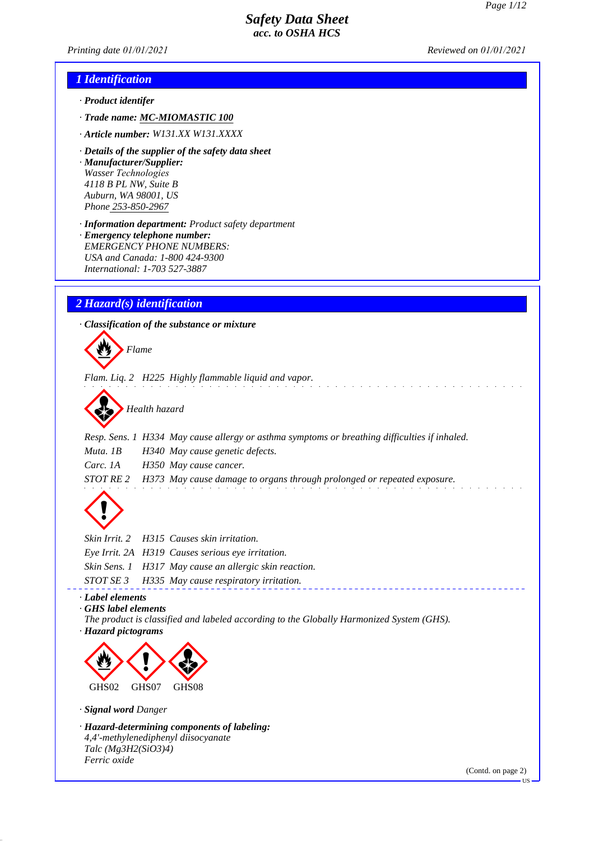*Printing date 01/01/2021 Reviewed on 01/01/2021*

### *1 Identification*

- *· Product identifer*
- *· Trade name: MC-MIOMASTIC 100*
- *· Article number: W131.XX W131.XXXX*
- *· Details of the supplier of the safety data sheet · Manufacturer/Supplier: Wasser Technologies 4118 B PL NW, Suite B Auburn, WA 98001, US Phone 253-850-2967*
- *· Information department: Product safety department · Emergency telephone number: EMERGENCY PHONE NUMBERS: USA and Canada: 1-800 424-9300 International: 1-703 527-3887*

### *2 Hazard(s) identification*

*· Classification of the substance or mixture*



*Flam. Liq. 2 H225 Highly flammable liquid and vapor.*



*Resp. Sens. 1 H334 May cause allergy or asthma symptoms or breathing difficulties if inhaled. Muta. 1B H340 May cause genetic defects. Carc. 1A H350 May cause cancer. STOT RE 2 H373 May cause damage to organs through prolonged or repeated exposure.*



|  | Skin Irrit. 2 H315 Causes skin irritation.             |
|--|--------------------------------------------------------|
|  | Eye Irrit. 2A H319 Causes serious eye irritation.      |
|  | Skin Sens. 1 H317 May cause an allergic skin reaction. |
|  | STOT SE 3 H335 May cause respiratory irritation.       |
|  |                                                        |

### *· Label elements*

*· GHS label elements*

*The product is classified and labeled according to the Globally Harmonized System (GHS). · Hazard pictograms*



#### *· Signal word Danger*

*· Hazard-determining components of labeling: 4,4'-methylenediphenyl diisocyanate Talc (Mg3H2(SiO3)4) Ferric oxide*

(Contd. on page 2)

US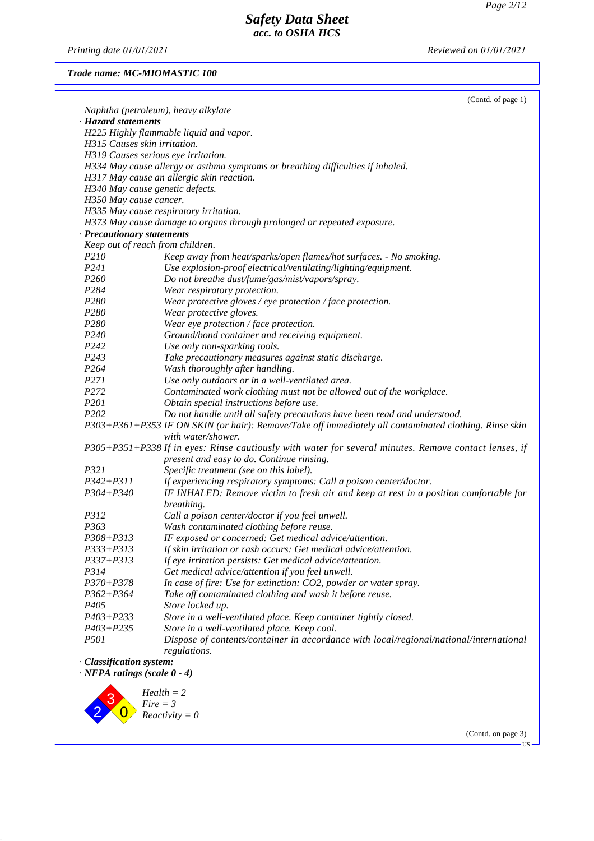*Printing date 01/01/2021 Reviewed on 01/01/2021*

*Trade name: MC-MIOMASTIC 100*

|  | (Contd. of page 1) |  |
|--|--------------------|--|
|--|--------------------|--|

|                                       | Naphtha (petroleum), heavy alkylate                                                                    |
|---------------------------------------|--------------------------------------------------------------------------------------------------------|
| · Hazard statements                   |                                                                                                        |
|                                       | H225 Highly flammable liquid and vapor.                                                                |
| H315 Causes skin irritation.          |                                                                                                        |
|                                       | H319 Causes serious eye irritation.                                                                    |
|                                       | H334 May cause allergy or asthma symptoms or breathing difficulties if inhaled.                        |
|                                       | H317 May cause an allergic skin reaction.                                                              |
| H340 May cause genetic defects.       |                                                                                                        |
| H350 May cause cancer.                |                                                                                                        |
|                                       | H335 May cause respiratory irritation.                                                                 |
|                                       | H373 May cause damage to organs through prolonged or repeated exposure.                                |
| · Precautionary statements            |                                                                                                        |
| Keep out of reach from children.      |                                                                                                        |
| P <sub>210</sub>                      | Keep away from heat/sparks/open flames/hot surfaces. - No smoking.                                     |
| P241                                  | Use explosion-proof electrical/ventilating/lighting/equipment.                                         |
| P <sub>260</sub>                      | Do not breathe dust/fume/gas/mist/vapors/spray.                                                        |
| P <sub>2</sub> 84                     | Wear respiratory protection.                                                                           |
| P280                                  | Wear protective gloves / eye protection / face protection.                                             |
| P280                                  | Wear protective gloves.                                                                                |
| P280                                  | Wear eye protection / face protection.                                                                 |
| P240                                  | Ground/bond container and receiving equipment.                                                         |
| P <sub>242</sub>                      | Use only non-sparking tools.                                                                           |
| P243                                  | Take precautionary measures against static discharge.                                                  |
| P <sub>264</sub>                      | Wash thoroughly after handling.                                                                        |
| P271                                  | Use only outdoors or in a well-ventilated area.                                                        |
| P272                                  | Contaminated work clothing must not be allowed out of the workplace.                                   |
| P201                                  | Obtain special instructions before use.                                                                |
| P202                                  | Do not handle until all safety precautions have been read and understood.                              |
|                                       | P303+P361+P353 IF ON SKIN (or hair): Remove/Take off immediately all contaminated clothing. Rinse skin |
|                                       | with water/shower.                                                                                     |
|                                       | P305+P351+P338 If in eyes: Rinse cautiously with water for several minutes. Remove contact lenses, if  |
|                                       | present and easy to do. Continue rinsing.                                                              |
| P321                                  | Specific treatment (see on this label).                                                                |
| $P342 + P311$                         | If experiencing respiratory symptoms: Call a poison center/doctor.                                     |
| $P304 + P340$                         | IF INHALED: Remove victim to fresh air and keep at rest in a position comfortable for                  |
|                                       | breathing.                                                                                             |
| P312                                  | Call a poison center/doctor if you feel unwell.                                                        |
| P363                                  | Wash contaminated clothing before reuse.                                                               |
| P308+P313                             | IF exposed or concerned: Get medical advice/attention.                                                 |
| P333+P313                             | If skin irritation or rash occurs: Get medical advice/attention.                                       |
| P337+P313                             | If eye irritation persists: Get medical advice/attention.                                              |
| P314                                  | Get medical advice/attention if you feel unwell.                                                       |
| P370+P378                             | In case of fire: Use for extinction: CO2, powder or water spray.                                       |
| $P362 + P364$                         | Take off contaminated clothing and wash it before reuse.                                               |
| P405                                  | Store locked up.                                                                                       |
| P403+P233                             | Store in a well-ventilated place. Keep container tightly closed.                                       |
| $P403 + P235$                         | Store in a well-ventilated place. Keep cool.                                                           |
| <i>P501</i>                           | Dispose of contents/container in accordance with local/regional/national/international                 |
|                                       | regulations.                                                                                           |
| Classification system:                |                                                                                                        |
| $\cdot$ NFPA ratings (scale $0 - 4$ ) |                                                                                                        |
|                                       |                                                                                                        |



*Health = 2 Fire = 3 Reactivity = 0*

(Contd. on page 3)

US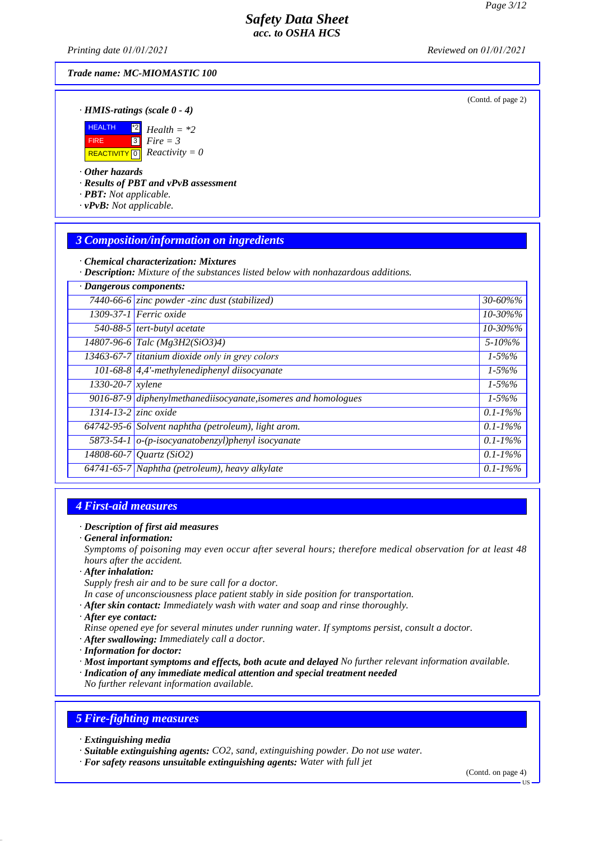(Contd. of page 2)

### *Safety Data Sheet acc. to OSHA HCS*

*Printing date 01/01/2021 Reviewed on 01/01/2021*

#### *Trade name: MC-MIOMASTIC 100*

*· HMIS-ratings (scale 0 - 4)*

| HEALTH      | $\frac{1}{2}$ Health = *2                                  |
|-------------|------------------------------------------------------------|
| <b>FIRE</b> | $3$ Fire = 3                                               |
|             | <b>REACTIVITY</b> $\boxed{0}$ <b><i>Reactivity</i></b> = 0 |

### *· Other hazards*

*· Results of PBT and vPvB assessment*

- *· PBT: Not applicable.*
- *· vPvB: Not applicable.*

# *3 Composition/information on ingredients*

*· Chemical characterization: Mixtures*

*· Description: Mixture of the substances listed below with nonhazardous additions.*

| · Dangerous components:    |                                                                  |               |
|----------------------------|------------------------------------------------------------------|---------------|
|                            | 7440-66-6 zinc powder -zinc dust (stabilized)                    | $30 - 60\%$ % |
|                            | 1309-37-1 Ferric oxide                                           | 10-30%%       |
|                            | 540-88-5 tert-butyl acetate                                      | 10-30%%       |
|                            | $14807 - 96 - 6$ Talc (Mg3H2(SiO3)4)                             | $5 - 10\%$ %  |
|                            | 13463-67-7 titanium dioxide only in grey colors                  | $1 - 5\%%$    |
|                            | $101-68-8$ 4,4'-methylenediphenyl diisocyanate                   | $1 - 5\%%$    |
| $1330-20-7$ xylene         |                                                                  | $1 - 5\%%$    |
|                            | $9016-87-9$ diphenylmethanediisocyanate, isomeres and homologues | $1 - 5\%%$    |
| $1314 - 13 - 2$ zinc oxide |                                                                  | $0.1 - 1\%$ % |
|                            | 64742-95-6 Solvent naphtha (petroleum), light arom.              | $0.1 - 1\%$ % |
|                            | 5873-54-1 $o$ -(p-isocyanatobenzyl)phenyl isocyanate             | $0.1 - 1\%$ % |
|                            | 14808-60-7 Quartz (SiO2)                                         | $0.1 - 1\%$ % |
|                            | 64741-65-7 Naphtha (petroleum), heavy alkylate                   | $0.1 - 1\%$ % |
|                            |                                                                  |               |

### *4 First-aid measures*

#### *· Description of first aid measures*

*· General information:*

*Symptoms of poisoning may even occur after several hours; therefore medical observation for at least 48 hours after the accident.*

*· After inhalation:*

*Supply fresh air and to be sure call for a doctor.*

- *In case of unconsciousness place patient stably in side position for transportation.*
- *· After skin contact: Immediately wash with water and soap and rinse thoroughly.*
- *· After eye contact:*
- *Rinse opened eye for several minutes under running water. If symptoms persist, consult a doctor.*
- *· After swallowing: Immediately call a doctor.*
- *· Information for doctor:*
- *· Most important symptoms and effects, both acute and delayed No further relevant information available.*
- *· Indication of any immediate medical attention and special treatment needed*

*No further relevant information available.*

### *5 Fire-fighting measures*

- *· Extinguishing media*
- *· Suitable extinguishing agents: CO2, sand, extinguishing powder. Do not use water.*
- *· For safety reasons unsuitable extinguishing agents: Water with full jet*

(Contd. on page 4)

US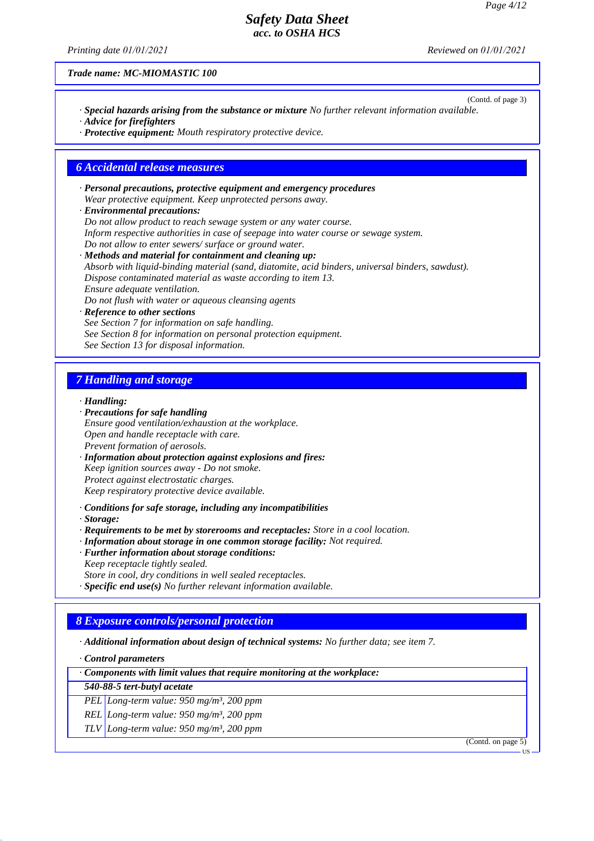*Printing date 01/01/2021 Reviewed on 01/01/2021*

*Trade name: MC-MIOMASTIC 100*

- (Contd. of page 3) *· Special hazards arising from the substance or mixture No further relevant information available. · Advice for firefighters*
- *· Protective equipment: Mouth respiratory protective device.*

#### *6 Accidental release measures*

- *· Personal precautions, protective equipment and emergency procedures Wear protective equipment. Keep unprotected persons away.*
- *· Environmental precautions: Do not allow product to reach sewage system or any water course. Inform respective authorities in case of seepage into water course or sewage system. Do not allow to enter sewers/ surface or ground water.*
- *· Methods and material for containment and cleaning up: Absorb with liquid-binding material (sand, diatomite, acid binders, universal binders, sawdust). Dispose contaminated material as waste according to item 13. Ensure adequate ventilation. Do not flush with water or aqueous cleansing agents*
- *· Reference to other sections See Section 7 for information on safe handling. See Section 8 for information on personal protection equipment. See Section 13 for disposal information.*

### *7 Handling and storage*

#### *· Handling:*

- *· Precautions for safe handling*
- *Ensure good ventilation/exhaustion at the workplace. Open and handle receptacle with care. Prevent formation of aerosols.*
- *· Information about protection against explosions and fires: Keep ignition sources away - Do not smoke. Protect against electrostatic charges. Keep respiratory protective device available.*
- *· Conditions for safe storage, including any incompatibilities*
- *· Storage:*
- *· Requirements to be met by storerooms and receptacles: Store in a cool location.*
- *· Information about storage in one common storage facility: Not required.*
- *· Further information about storage conditions:*
- *Keep receptacle tightly sealed. Store in cool, dry conditions in well sealed receptacles.*
- *· Specific end use(s) No further relevant information available.*
- 

# *8 Exposure controls/personal protection*

*· Additional information about design of technical systems: No further data; see item 7.*

*· Control parameters*

*· Components with limit values that require monitoring at the workplace:*

- *540-88-5 tert-butyl acetate*
- *PEL Long-term value: 950 mg/m³, 200 ppm*
- *REL Long-term value: 950 mg/m³, 200 ppm*

*TLV Long-term value: 950 mg/m³, 200 ppm*

(Contd. on page 5)

US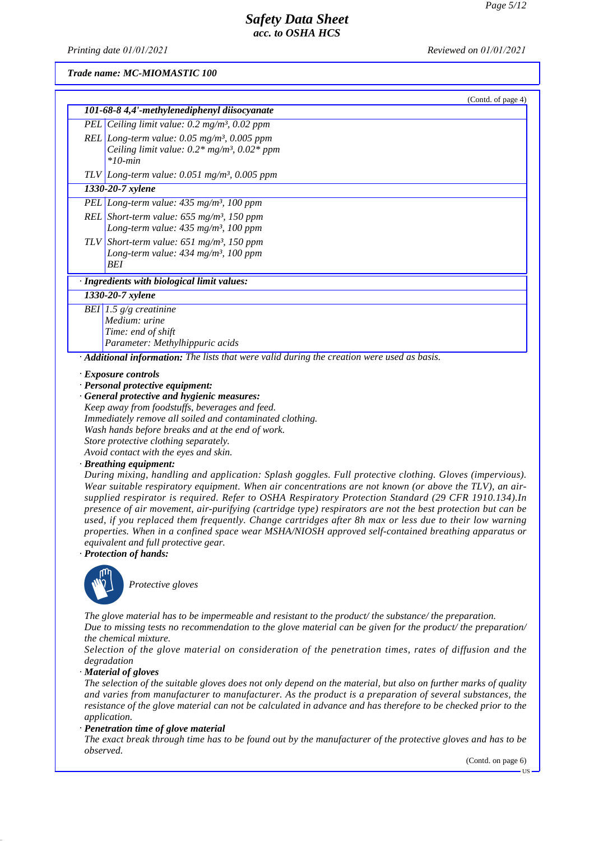*Printing date 01/01/2021 Reviewed on 01/01/2021*

#### *Trade name: MC-MIOMASTIC 100*

| 101-68-8 4,4'-methylenediphenyl diisocyanate<br>PEL Ceiling limit value: $0.2$ mg/m <sup>3</sup> , $0.02$ ppm<br>REL Long-term value: $0.05$ mg/m <sup>3</sup> , $0.005$ ppm<br>Ceiling limit value: $0.2*$ mg/m <sup>3</sup> , $0.02*$ ppm<br>$*10$ -min                                                               |  |
|-------------------------------------------------------------------------------------------------------------------------------------------------------------------------------------------------------------------------------------------------------------------------------------------------------------------------|--|
|                                                                                                                                                                                                                                                                                                                         |  |
|                                                                                                                                                                                                                                                                                                                         |  |
|                                                                                                                                                                                                                                                                                                                         |  |
| TLV Long-term value: $0.051$ mg/m <sup>3</sup> , $0.005$ ppm                                                                                                                                                                                                                                                            |  |
| 1330-20-7 xylene                                                                                                                                                                                                                                                                                                        |  |
| PEL Long-term value: $435 \text{ mg/m}^3$ , 100 ppm                                                                                                                                                                                                                                                                     |  |
| REL Short-term value: $655$ mg/m <sup>3</sup> , 150 ppm<br>Long-term value: $435 \text{ mg/m}^3$ , 100 ppm                                                                                                                                                                                                              |  |
| TLV Short-term value: 651 mg/m <sup>3</sup> , 150 ppm<br>Long-term value: $434$ mg/m <sup>3</sup> , 100 ppm<br><b>BEI</b>                                                                                                                                                                                               |  |
| · Ingredients with biological limit values:                                                                                                                                                                                                                                                                             |  |
| 1330-20-7 xylene                                                                                                                                                                                                                                                                                                        |  |
| BEI 1.5 $g/g$ creatinine<br>Medium: urine<br>Time: end of shift<br>Parameter: Methylhippuric acids                                                                                                                                                                                                                      |  |
| Additional information: The lists that were valid during the creation were used as basis.                                                                                                                                                                                                                               |  |
| $\cdot$ Exposure controls<br>· Personal protective equipment:<br>· General protective and hygienic measures:<br>Keep away from foodstuffs, beverages and feed.<br>Immediately remove all soiled and contaminated clothing.<br>Wash hands before breaks and at the end of work.<br>Store protective clothing separately. |  |

*Avoid contact with the eyes and skin.*

*· Breathing equipment:*

*During mixing, handling and application: Splash goggles. Full protective clothing. Gloves (impervious). Wear suitable respiratory equipment. When air concentrations are not known (or above the TLV), an airsupplied respirator is required. Refer to OSHA Respiratory Protection Standard (29 CFR 1910.134).In presence of air movement, air-purifying (cartridge type) respirators are not the best protection but can be used, if you replaced them frequently. Change cartridges after 8h max or less due to their low warning properties. When in a confined space wear MSHA/NIOSH approved self-contained breathing apparatus or equivalent and full protective gear.*

*· Protection of hands:*



**Protective gloves** 

*The glove material has to be impermeable and resistant to the product/ the substance/ the preparation. Due to missing tests no recommendation to the glove material can be given for the product/ the preparation/*

#### *the chemical mixture.*

*Selection of the glove material on consideration of the penetration times, rates of diffusion and the degradation*

*· Material of gloves*

*The selection of the suitable gloves does not only depend on the material, but also on further marks of quality and varies from manufacturer to manufacturer. As the product is a preparation of several substances, the resistance of the glove material can not be calculated in advance and has therefore to be checked prior to the application.*

*· Penetration time of glove material*

*The exact break through time has to be found out by the manufacturer of the protective gloves and has to be observed.*

(Contd. on page 6)

US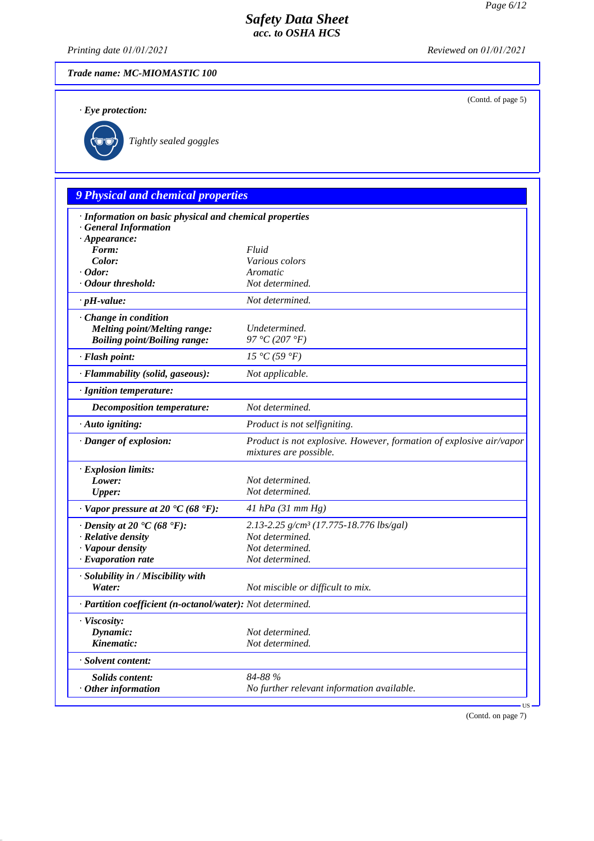(Contd. of page 5)

# *Safety Data Sheet acc. to OSHA HCS*

*Printing date 01/01/2021 Reviewed on 01/01/2021*

### *Trade name: MC-MIOMASTIC 100*

*· Eye protection:*



`R*Tightly sealed goggles*

# *9 Physical and chemical properties*

| · Information on basic physical and chemical properties    |                                                                                               |  |
|------------------------------------------------------------|-----------------------------------------------------------------------------------------------|--|
| <b>General Information</b>                                 |                                                                                               |  |
| $\cdot$ Appearance:<br>Form:                               |                                                                                               |  |
| Color:                                                     | Fluid<br>Various colors                                                                       |  |
| $\cdot$ Odor:                                              | Aromatic                                                                                      |  |
| · Odour threshold:                                         | Not determined.                                                                               |  |
| $\cdot$ pH-value:                                          | Not determined.                                                                               |  |
| Change in condition                                        |                                                                                               |  |
| <b>Melting point/Melting range:</b>                        | Undetermined.                                                                                 |  |
| <b>Boiling point/Boiling range:</b>                        | 97 °C (207 °F)                                                                                |  |
| · Flash point:                                             | 15 °C(59 °F)                                                                                  |  |
| · Flammability (solid, gaseous):                           | Not applicable.                                                                               |  |
| · Ignition temperature:                                    |                                                                                               |  |
| <b>Decomposition temperature:</b>                          | Not determined.                                                                               |  |
| · Auto igniting:                                           | Product is not selfigniting.                                                                  |  |
| · Danger of explosion:                                     | Product is not explosive. However, formation of explosive air/vapor<br>mixtures are possible. |  |
| · Explosion limits:                                        |                                                                                               |  |
| Lower:                                                     | Not determined.                                                                               |  |
| <b>Upper:</b>                                              | Not determined.                                                                               |  |
| $\cdot$ Vapor pressure at 20 $\cdot$ C (68 $\cdot$ F):     | $41$ hPa (31 mm Hg)                                                                           |  |
| $\cdot$ Density at 20 $\cdot$ C (68 $\cdot$ F):            | 2.13-2.25 g/cm <sup>3</sup> (17.775-18.776 lbs/gal)                                           |  |
| · Relative density                                         | Not determined.                                                                               |  |
| · Vapour density                                           | Not determined.                                                                               |  |
| $\cdot$ Evaporation rate                                   | Not determined.                                                                               |  |
| · Solubility in / Miscibility with                         |                                                                                               |  |
| Water:                                                     | Not miscible or difficult to mix.                                                             |  |
|                                                            |                                                                                               |  |
| · Partition coefficient (n-octanol/water): Not determined. |                                                                                               |  |
| · Viscosity:                                               |                                                                                               |  |
| Dynamic:                                                   | Not determined.                                                                               |  |
| Kinematic:                                                 | Not determined.                                                                               |  |
| · Solvent content:                                         |                                                                                               |  |
| <b>Solids content:</b>                                     | 84-88 %                                                                                       |  |
| $·$ Other information                                      | No further relevant information available.                                                    |  |

(Contd. on page 7)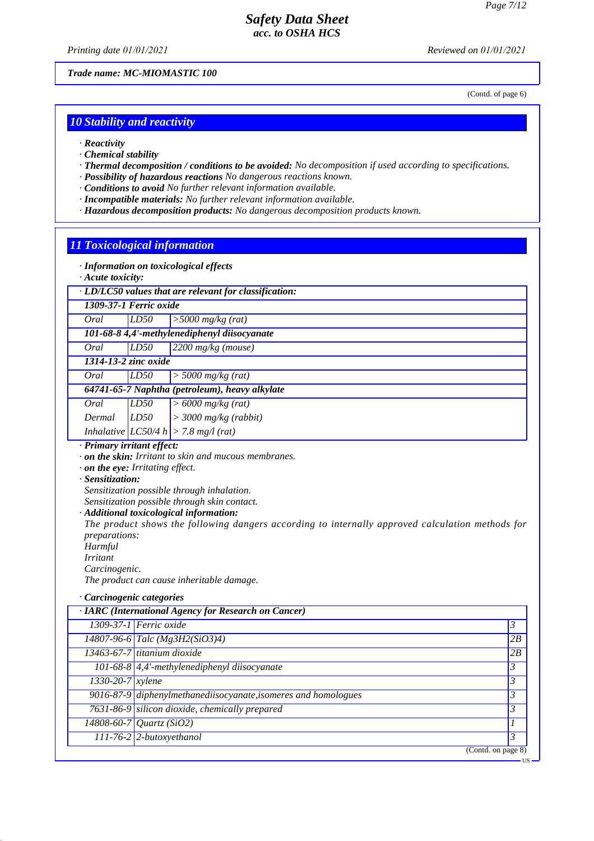*Printing date 01/01/2021 Reviewed on 01/01/2021*

*Trade name: MC-MIOMASTIC 100*

(Contd. of page 6)

US

#### *10 Stability and reactivity*

- *· Reactivity*
- *· Chemical stability*
- *· Thermal decomposition / conditions to be avoided: No decomposition if used according to specifications.*
- *· Possibility of hazardous reactions No dangerous reactions known.*
- *· Conditions to avoid No further relevant information available.*
- *· Incompatible materials: No further relevant information available.*
- *· Hazardous decomposition products: No dangerous decomposition products known.*

#### *11 Toxicological information*

- *· Information on toxicological effects*
- *· Acute toxicity:*
- *· LD/LC50 values that are relevant for classification:*

*1309-37-1 Ferric oxide*

*Oral LD50 >5000 mg/kg (rat)*

*101-68-8 4,4'-methylenediphenyl diisocyanate*

*Oral LD50 2200 mg/kg (mouse)*

*1314-13-2 zinc oxide*

*Oral LD50 > 5000 mg/kg (rat)*

#### *64741-65-7 Naphtha (petroleum), heavy alkylate*

- *Oral LD50 > 6000 mg/kg (rat)*
- *Dermal LD50 > 3000 mg/kg (rabbit)*
- *Inhalative LC50/4 h > 7.8 mg/l (rat)*

# *· Primary irritant effect:*

- *· on the skin: Irritant to skin and mucous membranes.*
- *· on the eye: Irritating effect.*
- *· Sensitization:*

*Sensitization possible through inhalation.*

*Sensitization possible through skin contact.*

*· Additional toxicological information:*

*The product shows the following dangers according to internally approved calculation methods for preparations:*

*Harmful*

- *Irritant*
- *Carcinogenic.*

*The product can cause inheritable damage.*

*· Carcinogenic categories*

|                  | · IARC (International Agency for Research on Cancer)            |                |
|------------------|-----------------------------------------------------------------|----------------|
|                  | 1309-37-1 Ferric oxide                                          | $\mathfrak{Z}$ |
|                  | $14807 - 96 - 6$ Talc (Mg3H2(SiO3)4)                            | 2B             |
|                  | $13463-67-7$ titanium dioxide                                   | 2B             |
|                  | $\overline{101-68-8\vert 4}$ ,4'-methylenediphenyl diisocyanate | $\mathfrak{Z}$ |
| 1330-20-7 xylene |                                                                 | $\mathfrak{Z}$ |
|                  | 9016-87-9 diphenylmethanediisocyanate, isomeres and homologues  | 3              |
|                  | 7631-86-9 silicon dioxide, chemically prepared                  | 3              |
|                  | 14808-60-7 Quartz (SiO2)                                        |                |
|                  | $111-76-2$ 2-butoxyethanol                                      | 3              |
|                  | (Contd. on page 8)                                              |                |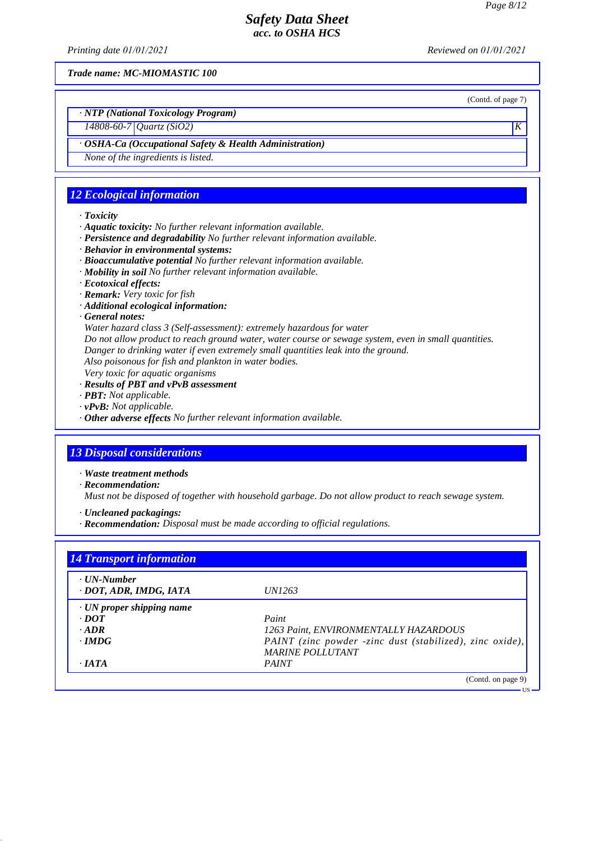*Printing date 01/01/2021 Reviewed on 01/01/2021*

*Trade name: MC-MIOMASTIC 100*

(Contd. of page 7)

US

# *· NTP (National Toxicology Program)*

# *14808-60-7 Quartz (SiO2) K*

#### *· OSHA-Ca (Occupational Safety & Health Administration)*

*None of the ingredients is listed.*

### *12 Ecological information*

#### *· Toxicity*

- *· Aquatic toxicity: No further relevant information available.*
- *· Persistence and degradability No further relevant information available.*
- *· Behavior in environmental systems:*
- *· Bioaccumulative potential No further relevant information available.*
- *· Mobility in soil No further relevant information available.*
- *· Ecotoxical effects:*
- *· Remark: Very toxic for fish*
- *· Additional ecological information:*

#### *· General notes:*

*Water hazard class 3 (Self-assessment): extremely hazardous for water*

- *Do not allow product to reach ground water, water course or sewage system, even in small quantities.*
- *Danger to drinking water if even extremely small quantities leak into the ground.*
- *Also poisonous for fish and plankton in water bodies.*
- *Very toxic for aquatic organisms*
- *· Results of PBT and vPvB assessment*
- *· PBT: Not applicable.*
- *· vPvB: Not applicable.*
- *· Other adverse effects No further relevant information available.*

### *13 Disposal considerations*

- *· Waste treatment methods*
- *· Recommendation:*

*Must not be disposed of together with household garbage. Do not allow product to reach sewage system.*

- *· Uncleaned packagings:*
- *· Recommendation: Disposal must be made according to official regulations.*

| $\cdot$ UN-Number               |                                                          |
|---------------------------------|----------------------------------------------------------|
| · DOT, ADR, IMDG, IATA          | <i>UN1263</i>                                            |
| $\cdot$ UN proper shipping name |                                                          |
| $\cdot$ <i>DOT</i>              | Paint                                                    |
| $\cdot$ ADR                     | 1263 Paint, ENVIRONMENTALLY HAZARDOUS                    |
| $\cdot$ IMDG                    | PAINT (zinc powder -zinc dust (stabilized), zinc oxide), |
|                                 | <b>MARINE POLLUTANT</b>                                  |
| $\cdot$ JATA                    | <b>PAINT</b>                                             |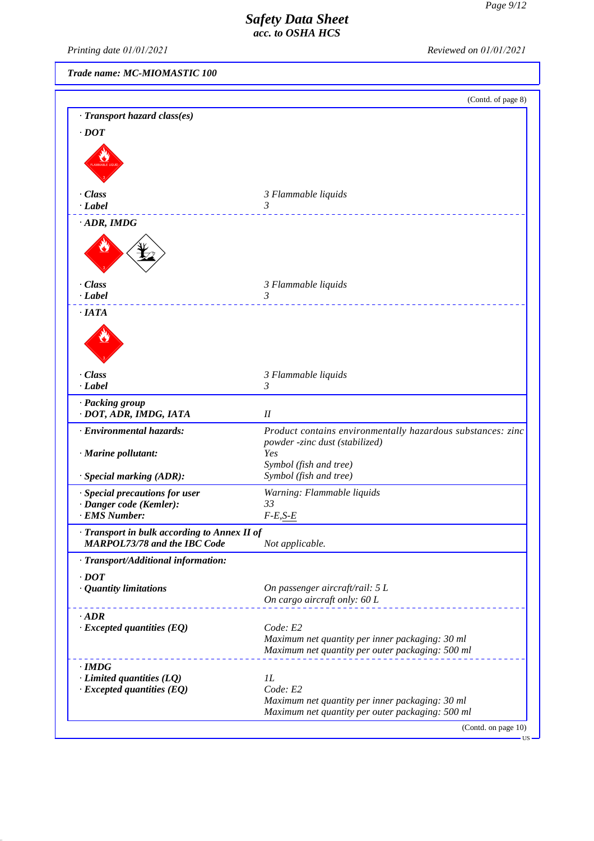*Printing date 01/01/2021 Reviewed on 01/01/2021*

*Trade name: MC-MIOMASTIC 100*

*· Limited quantities (LQ) 1L*

|                                                                                     | (Contd. of page 8)                                          |
|-------------------------------------------------------------------------------------|-------------------------------------------------------------|
| · Transport hazard class(es)                                                        |                                                             |
| $\cdot$ <i>DOT</i>                                                                  |                                                             |
|                                                                                     |                                                             |
|                                                                                     |                                                             |
|                                                                                     |                                                             |
| · Class                                                                             | 3 Flammable liquids                                         |
| $\cdot$ Label                                                                       | 3                                                           |
| $\cdot$ ADR, IMDG                                                                   |                                                             |
|                                                                                     |                                                             |
| $\cdot$ Class                                                                       | 3 Flammable liquids                                         |
| $\cdot$ Label                                                                       | $\mathfrak{Z}$                                              |
| $\cdot$ IATA                                                                        |                                                             |
|                                                                                     |                                                             |
| $\cdot$ Class                                                                       | 3 Flammable liquids                                         |
| $-Label$                                                                            | 3                                                           |
| · Packing group<br>· DOT, ADR, IMDG, IATA                                           | I                                                           |
| · Environmental hazards:                                                            | Product contains environmentally hazardous substances: zinc |
|                                                                                     | powder -zinc dust (stabilized)                              |
| · Marine pollutant:                                                                 | Yes<br>Symbol (fish and tree)                               |
| · Special marking (ADR):                                                            | Symbol (fish and tree)                                      |
| · Special precautions for user                                                      | Warning: Flammable liquids                                  |
| · Danger code (Kemler):                                                             | 33                                                          |
| · EMS Number:                                                                       | $F-E, S-E$                                                  |
| · Transport in bulk according to Annex II of<br><b>MARPOL73/78 and the IBC Code</b> | Not applicable.                                             |
| · Transport/Additional information:                                                 |                                                             |
| $\cdot$ <i>DOT</i>                                                                  |                                                             |
| · Quantity limitations                                                              | On passenger aircraft/rail: 5 L                             |
|                                                                                     | On cargo aircraft only: 60 L                                |
| $\cdot$ <i>ADR</i>                                                                  |                                                             |
| $\cdot$ Excepted quantities (EQ)                                                    | Code: E2<br>Maximum net quantity per inner packaging: 30 ml |
|                                                                                     | Maximum net quantity per outer packaging: 500 ml            |
| $\cdot$ IMDG                                                                        |                                                             |

*· Excepted quantities (EQ) Code: E2 Maximum net quantity per inner packaging: 30 ml Maximum net quantity per outer packaging: 500 ml*

(Contd. on page 10)

US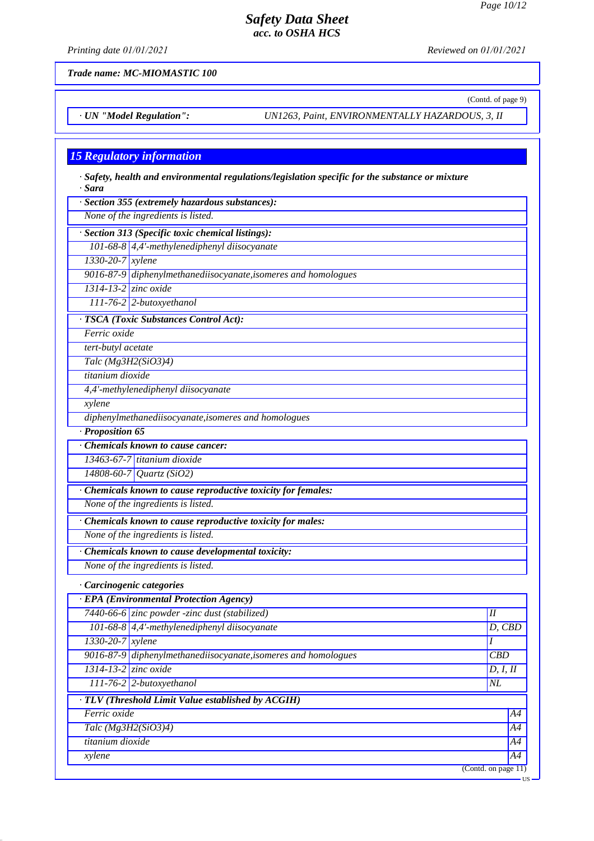(Contd. of page 9)

### *Safety Data Sheet acc. to OSHA HCS*

*Printing date 01/01/2021 Reviewed on 01/01/2021*

*Trade name: MC-MIOMASTIC 100*

*· UN "Model Regulation": UN1263, Paint, ENVIRONMENTALLY HAZARDOUS, 3, II*

#### *15 Regulatory information*

| $\cdot$ Safety, health and environmental regulations/legislation specific for the substance or mixture<br>· Sara |
|------------------------------------------------------------------------------------------------------------------|
| $\cdot$ Section 355 (extremely hazardous substances):                                                            |
| None of the ingredients is listed.                                                                               |

*· Section 313 (Specific toxic chemical listings):*

*101-68-8 4,4'-methylenediphenyl diisocyanate*

*1330-20-7 xylene*

*9016-87-9 diphenylmethanediisocyanate,isomeres and homologues 1314-13-2 zinc oxide*

*111-76-2 2-butoxyethanol*

*· TSCA (Toxic Substances Control Act):*

*Ferric oxide*

*tert-butyl acetate*

*Talc (Mg3H2(SiO3)4)*

*titanium dioxide*

*4,4'-methylenediphenyl diisocyanate*

*xylene*

*diphenylmethanediisocyanate,isomeres and homologues*

*· Proposition 65*

*· Chemicals known to cause cancer:*

*13463-67-7 titanium dioxide*

*14808-60-7 Quartz (SiO2)*

*· Chemicals known to cause reproductive toxicity for females:*

*None of the ingredients is listed.*

*· Chemicals known to cause reproductive toxicity for males:*

*None of the ingredients is listed.*

*· Chemicals known to cause developmental toxicity:*

*None of the ingredients is listed.*

#### *· Carcinogenic categories*

| · EPA (Environmental Protection Agency)            |                                                                |                        |        |
|----------------------------------------------------|----------------------------------------------------------------|------------------------|--------|
|                                                    | 7440-66-6 zinc powder -zinc dust (stabilized)                  | H                      |        |
|                                                    | 101-68-8 $\vert$ 4,4'-methylenediphenyl diisocyanate           |                        | D, CBD |
| $1330 - 20 - 7$ <i>xylene</i>                      |                                                                |                        |        |
|                                                    | 9016-87-9 diphenylmethanediisocyanate, isomeres and homologues | CBD                    |        |
| $\overline{1314}$ -13-2 zinc oxide                 |                                                                | D, I, II               |        |
|                                                    | $111-76-2$ 2-butoxyethanol<br>NL                               |                        |        |
| · TLV (Threshold Limit Value established by ACGIH) |                                                                |                        |        |
| Ferric oxide                                       |                                                                |                        | A4     |
| Talc $(Mg3H2(SiO3)4)$                              |                                                                | A4                     |        |
| titanium dioxide                                   |                                                                |                        | A4     |
| xylene                                             |                                                                |                        | A4     |
|                                                    |                                                                | (Contd. on page $11$ ) |        |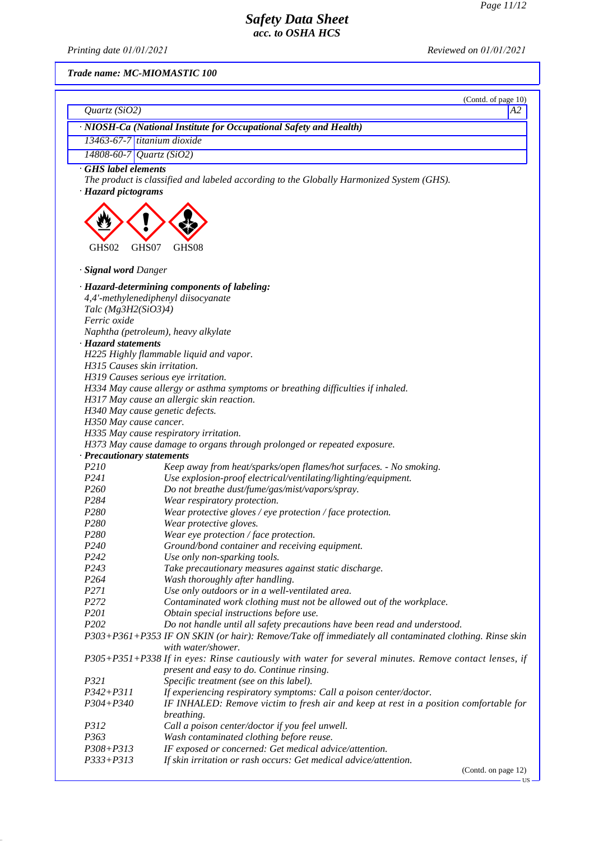*Printing date 01/01/2021 Reviewed on 01/01/2021*

*Trade name: MC-MIOMASTIC 100*

|                                       | (Contd. of page 10)                                                                                                          |
|---------------------------------------|------------------------------------------------------------------------------------------------------------------------------|
| Quartz $(SiO2)$                       | А2                                                                                                                           |
|                                       | · NIOSH-Ca (National Institute for Occupational Safety and Health)                                                           |
| 13463-67-7 titanium dioxide           |                                                                                                                              |
| 14808-60-7                            | Quartz $(SiO2)$                                                                                                              |
| GHS label elements                    |                                                                                                                              |
| · Hazard pictograms                   | The product is classified and labeled according to the Globally Harmonized System (GHS).                                     |
|                                       |                                                                                                                              |
| GHS02<br>GHS07                        | GHS08                                                                                                                        |
| · Signal word Danger                  |                                                                                                                              |
|                                       | · Hazard-determining components of labeling:                                                                                 |
|                                       | 4,4'-methylenediphenyl diisocyanate                                                                                          |
| Talc $(Mg3H2(SiO3)4)$<br>Ferric oxide |                                                                                                                              |
|                                       |                                                                                                                              |
| · Hazard statements                   | Naphtha (petroleum), heavy alkylate                                                                                          |
|                                       | H225 Highly flammable liquid and vapor.                                                                                      |
| H315 Causes skin irritation.          |                                                                                                                              |
|                                       | H319 Causes serious eye irritation.                                                                                          |
|                                       | H334 May cause allergy or asthma symptoms or breathing difficulties if inhaled.                                              |
|                                       | H317 May cause an allergic skin reaction.                                                                                    |
|                                       | H340 May cause genetic defects.                                                                                              |
| H350 May cause cancer.                |                                                                                                                              |
|                                       | H335 May cause respiratory irritation.                                                                                       |
|                                       | H373 May cause damage to organs through prolonged or repeated exposure.                                                      |
| · Precautionary statements            |                                                                                                                              |
| P210                                  | Keep away from heat/sparks/open flames/hot surfaces. - No smoking.                                                           |
| P <sub>241</sub>                      | Use explosion-proof electrical/ventilating/lighting/equipment.                                                               |
| P <sub>260</sub>                      | Do not breathe dust/fume/gas/mist/vapors/spray.                                                                              |
| P <sub>2</sub> 84                     | Wear respiratory protection.                                                                                                 |
| P <sub>280</sub>                      | Wear protective gloves / eye protection / face protection.                                                                   |
| P <sub>280</sub><br>P280              | Wear protective gloves.                                                                                                      |
| P <sub>240</sub>                      | Wear eye protection / face protection.<br>Ground/bond container and receiving equipment.                                     |
| P <sub>242</sub>                      | Use only non-sparking tools.                                                                                                 |
| P <sub>243</sub>                      | Take precautionary measures against static discharge.                                                                        |
| P <sub>264</sub>                      | Wash thoroughly after handling.                                                                                              |
| P271                                  | Use only outdoors or in a well-ventilated area.                                                                              |
| P272                                  | Contaminated work clothing must not be allowed out of the workplace.                                                         |
| P <sub>201</sub>                      | Obtain special instructions before use.                                                                                      |
| P202                                  | Do not handle until all safety precautions have been read and understood.                                                    |
|                                       | P303+P361+P353 IF ON SKIN (or hair): Remove/Take off immediately all contaminated clothing. Rinse skin<br>with water/shower. |
|                                       | P305+P351+P338 If in eyes: Rinse cautiously with water for several minutes. Remove contact lenses, if                        |
|                                       | present and easy to do. Continue rinsing.                                                                                    |
| P321                                  | Specific treatment (see on this label).                                                                                      |
| $P342 + P311$                         | If experiencing respiratory symptoms: Call a poison center/doctor.                                                           |
| $P304 + P340$                         | IF INHALED: Remove victim to fresh air and keep at rest in a position comfortable for<br>breathing.                          |
| P312                                  | Call a poison center/doctor if you feel unwell.                                                                              |
| P363                                  | Wash contaminated clothing before reuse.                                                                                     |
| P308+P313                             | IF exposed or concerned: Get medical advice/attention.                                                                       |
| P333+P313                             | If skin irritation or rash occurs: Get medical advice/attention.                                                             |

(Contd. on page 12)

US